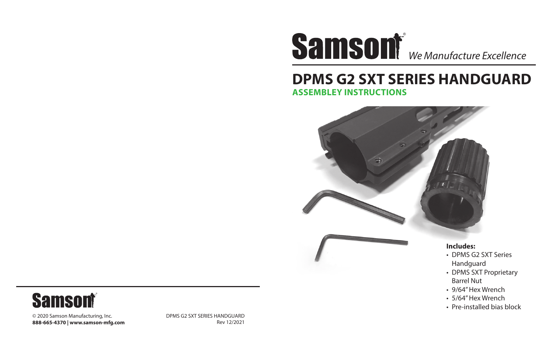## ® *We Manufacture Excellence*

### **DPMS G2 SXT SERIES HANDGUARD ASSEMBLEY INSTRUCTIONS**



- DPMS G2 SXT Series Handguard
- DPMS SXT Proprietary Barrel Nut
- 9/64" Hex Wrench
- 5/64" Hex Wrench
- Pre-installed bias block

**Samsont** 

© 2020 Samson Manufacturing, Inc. **888-665-4370 | www.samson-mfg.com** DPMS G2 SXT SERIES HANDGUARD Rev 12/2021